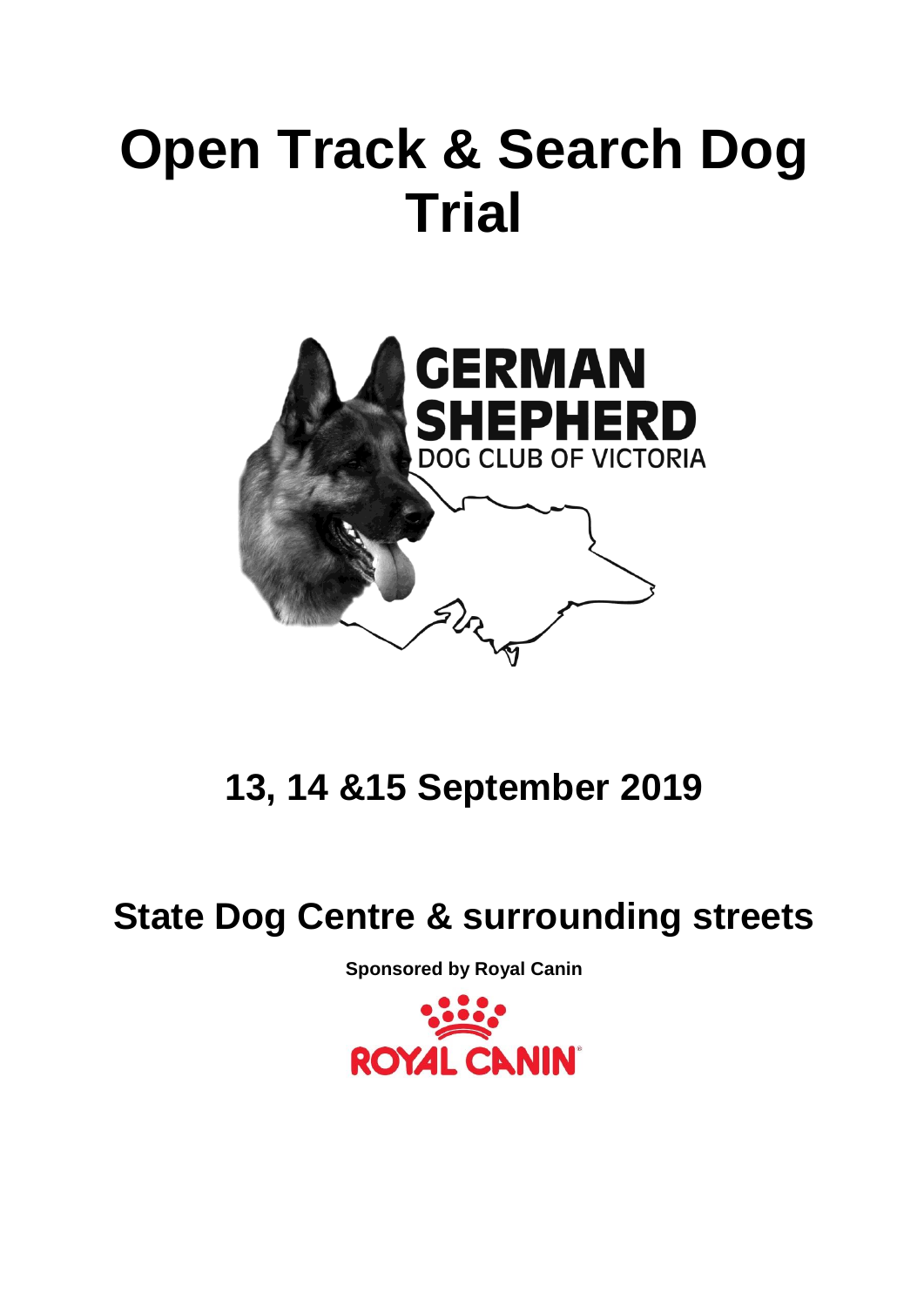# **Open Track & Search Dog Trial**



**13, 14 &15 September 2019**

### **State Dog Centre & surrounding streets**

**Sponsored by Royal Canin**

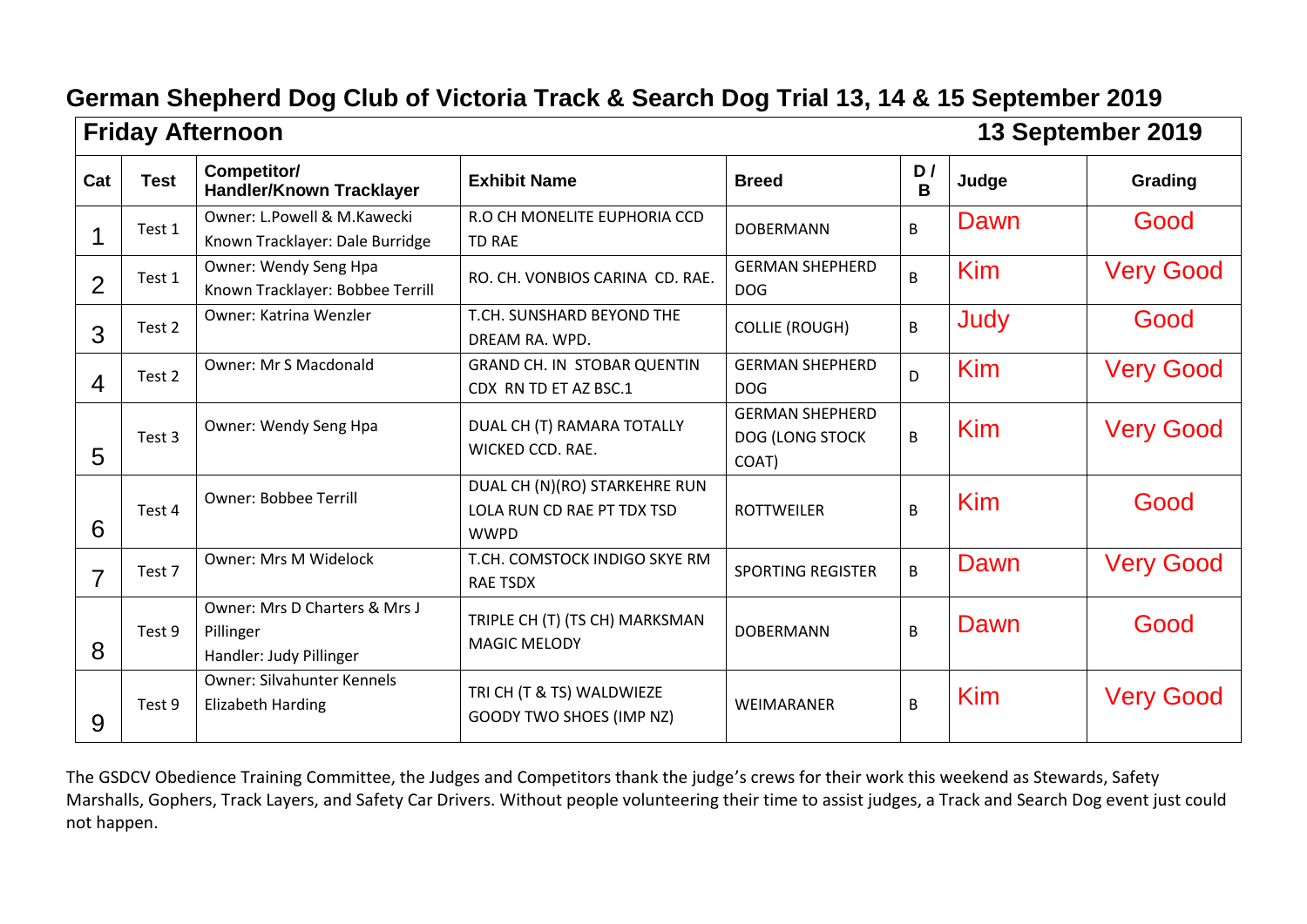|                | <b>Friday Afternoon</b> |                                                                       |                                                                            |                                                    |         |       | 13 September 2019 |  |
|----------------|-------------------------|-----------------------------------------------------------------------|----------------------------------------------------------------------------|----------------------------------------------------|---------|-------|-------------------|--|
| Cat            | <b>Test</b>             | Competitor/<br>Handler/Known Tracklayer                               | <b>Exhibit Name</b>                                                        | <b>Breed</b>                                       | D/<br>B | Judge | Grading           |  |
|                | Test 1                  | Owner: L.Powell & M.Kawecki<br>Known Tracklayer: Dale Burridge        | R.O CH MONELITE EUPHORIA CCD<br><b>TD RAE</b>                              | <b>DOBERMANN</b>                                   | B       | Dawn  | Good              |  |
| 2              | Test 1                  | Owner: Wendy Seng Hpa<br>Known Tracklayer: Bobbee Terrill             | RO. CH. VONBIOS CARINA CD. RAE.                                            | <b>GERMAN SHEPHERD</b><br><b>DOG</b>               | B       | Kim   | <b>Very Good</b>  |  |
| 3              | Test 2                  | Owner: Katrina Wenzler                                                | T.CH. SUNSHARD BEYOND THE<br>DREAM RA. WPD.                                | <b>COLLIE (ROUGH)</b>                              | B       | Judy  | Good              |  |
| $\overline{4}$ | Test 2                  | Owner: Mr S Macdonald                                                 | <b>GRAND CH. IN STOBAR QUENTIN</b><br>CDX RN TD ET AZ BSC.1                | <b>GERMAN SHEPHERD</b><br><b>DOG</b>               | D.      | Kim   | <b>Very Good</b>  |  |
| 5              | Test 3                  | Owner: Wendy Seng Hpa                                                 | DUAL CH (T) RAMARA TOTALLY<br>WICKED CCD. RAE.                             | <b>GERMAN SHEPHERD</b><br>DOG (LONG STOCK<br>COAT) | B       | Kim   | <b>Very Good</b>  |  |
| 6              | Test 4                  | <b>Owner: Bobbee Terrill</b>                                          | DUAL CH (N)(RO) STARKEHRE RUN<br>LOLA RUN CD RAE PT TDX TSD<br><b>WWPD</b> | <b>ROTTWEILER</b>                                  | B       | Kim   | Good              |  |
| $\overline{7}$ | Test 7                  | <b>Owner: Mrs M Widelock</b>                                          | T.CH. COMSTOCK INDIGO SKYE RM<br><b>RAE TSDX</b>                           | <b>SPORTING REGISTER</b>                           | B       | Dawn  | <b>Very Good</b>  |  |
| 8              | Test 9                  | Owner: Mrs D Charters & Mrs J<br>Pillinger<br>Handler: Judy Pillinger | TRIPLE CH (T) (TS CH) MARKSMAN<br><b>MAGIC MELODY</b>                      | <b>DOBERMANN</b>                                   | B       | Dawn  | Good              |  |
| 9              | Test 9                  | <b>Owner: Silvahunter Kennels</b><br><b>Elizabeth Harding</b>         | TRI CH (T & TS) WALDWIEZE<br><b>GOODY TWO SHOES (IMP NZ)</b>               | WEIMARANER                                         | B       | Kim   | <b>Very Good</b>  |  |

The GSDCV Obedience Training Committee, the Judges and Competitors thank the judge's crews for their work this weekend as Stewards, Safety Marshalls, Gophers, Track Layers, and Safety Car Drivers. Without people volunteering their time to assist judges, a Track and Search Dog event just could not happen.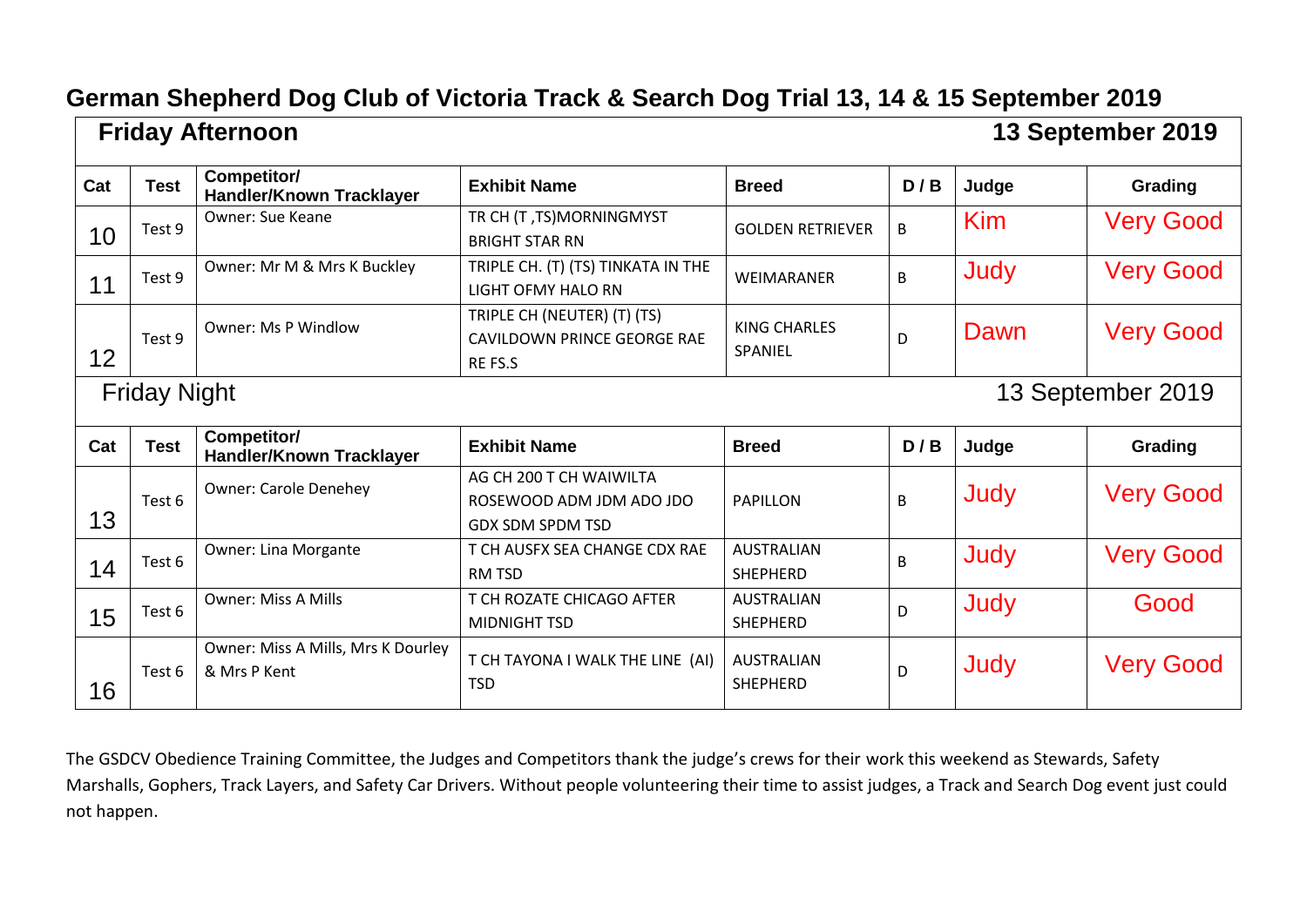|     |                     | <b>Friday Afternoon</b>                            |                                                                                |                                      |     |            | 13 September 2019 |
|-----|---------------------|----------------------------------------------------|--------------------------------------------------------------------------------|--------------------------------------|-----|------------|-------------------|
| Cat | <b>Test</b>         | Competitor/<br><b>Handler/Known Tracklayer</b>     | <b>Exhibit Name</b>                                                            | <b>Breed</b>                         | D/B | Judge      | Grading           |
| 10  | Test 9              | <b>Owner: Sue Keane</b>                            | TR CH (T, TS)MORNINGMYST<br><b>BRIGHT STAR RN</b>                              | <b>GOLDEN RETRIEVER</b>              | B.  | <b>Kim</b> | <b>Very Good</b>  |
| 11  | Test 9              | Owner: Mr M & Mrs K Buckley                        | TRIPLE CH. (T) (TS) TINKATA IN THE<br><b>LIGHT OFMY HALO RN</b>                | <b>WEIMARANER</b>                    | B   | Judy       | <b>Very Good</b>  |
| 12  | Test 9              | <b>Owner: Ms P Windlow</b>                         | TRIPLE CH (NEUTER) (T) (TS)<br>CAVILDOWN PRINCE GEORGE RAE<br>RE FS.S          | <b>KING CHARLES</b><br>SPANIEL       | D   | Dawn       | <b>Very Good</b>  |
|     | <b>Friday Night</b> |                                                    |                                                                                |                                      |     |            | 13 September 2019 |
| Cat | <b>Test</b>         | Competitor/<br><b>Handler/Known Tracklayer</b>     | <b>Exhibit Name</b>                                                            | <b>Breed</b>                         | D/B | Judge      | Grading           |
| 13  | Test 6              | <b>Owner: Carole Denehey</b>                       | AG CH 200 T CH WAIWILTA<br>ROSEWOOD ADM JDM ADO JDO<br><b>GDX SDM SPDM TSD</b> | <b>PAPILLON</b>                      | B   | Judy       | <b>Very Good</b>  |
| 14  | Test 6              | Owner: Lina Morgante                               | T CH AUSFX SEA CHANGE CDX RAE<br><b>RM TSD</b>                                 | <b>AUSTRALIAN</b><br><b>SHEPHERD</b> | B   | Judy       | <b>Very Good</b>  |
| 15  | Test 6              | <b>Owner: Miss A Mills</b>                         | T CH ROZATE CHICAGO AFTER<br><b>MIDNIGHT TSD</b>                               | <b>AUSTRALIAN</b><br><b>SHEPHERD</b> | D   | Judy       | Good              |
| 16  | Test 6              | Owner: Miss A Mills, Mrs K Dourley<br>& Mrs P Kent | T CH TAYONA I WALK THE LINE (AI)<br>TSD                                        | <b>AUSTRALIAN</b><br><b>SHEPHERD</b> | D   | Judy       | <b>Very Good</b>  |

The GSDCV Obedience Training Committee, the Judges and Competitors thank the judge's crews for their work this weekend as Stewards, Safety Marshalls, Gophers, Track Layers, and Safety Car Drivers. Without people volunteering their time to assist judges, a Track and Search Dog event just could not happen.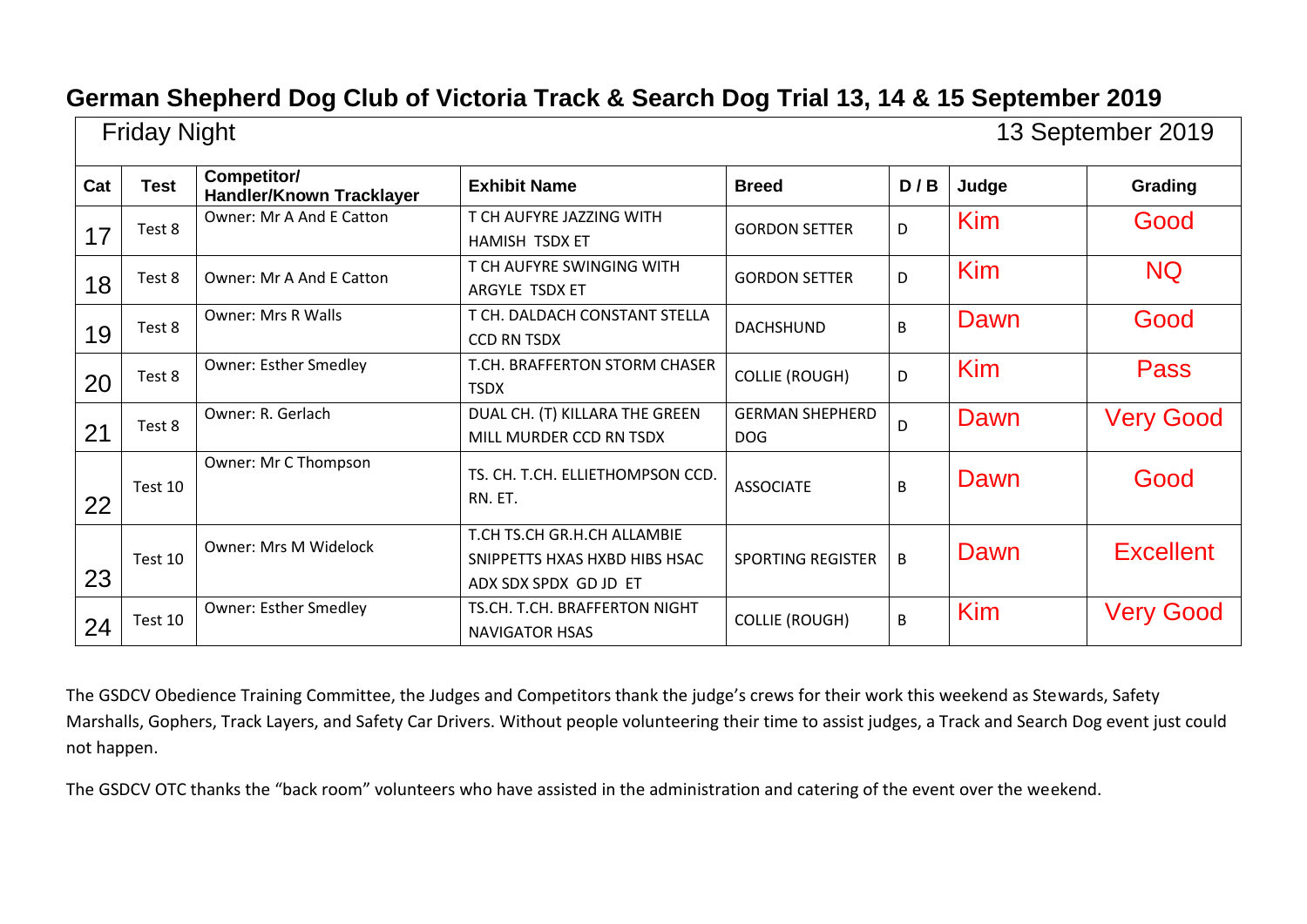| <b>Friday Night</b><br>13 September 2019 |             |                                                |                                                                                       |                                      |     |            |                  |
|------------------------------------------|-------------|------------------------------------------------|---------------------------------------------------------------------------------------|--------------------------------------|-----|------------|------------------|
| Cat                                      | <b>Test</b> | Competitor/<br><b>Handler/Known Tracklayer</b> | <b>Exhibit Name</b>                                                                   | <b>Breed</b>                         | D/B | Judge      | Grading          |
| 17                                       | Test 8      | Owner: Mr A And E Catton                       | T CH AUFYRE JAZZING WITH<br>HAMISH TSDX ET                                            | <b>GORDON SETTER</b>                 | D   | Kim        | Good             |
| 18                                       | Test 8      | Owner: Mr A And E Catton                       | T CH AUFYRE SWINGING WITH<br>ARGYLE TSDX ET                                           | <b>GORDON SETTER</b>                 | D   | <b>Kim</b> | <b>NQ</b>        |
| 19                                       | Test 8      | <b>Owner: Mrs R Walls</b>                      | T CH. DALDACH CONSTANT STELLA<br><b>CCD RN TSDX</b>                                   | <b>DACHSHUND</b>                     | B   | Dawn       | Good             |
| 20                                       | Test 8      | <b>Owner: Esther Smedley</b>                   | T.CH. BRAFFERTON STORM CHASER<br><b>TSDX</b>                                          | <b>COLLIE (ROUGH)</b>                | D   | Kim        | Pass             |
| 21                                       | Test 8      | Owner: R. Gerlach                              | DUAL CH. (T) KILLARA THE GREEN<br>MILL MURDER CCD RN TSDX                             | <b>GERMAN SHEPHERD</b><br><b>DOG</b> | D   | Dawn       | <b>Very Good</b> |
| 22                                       | Test 10     | Owner: Mr C Thompson                           | TS. CH. T.CH. ELLIETHOMPSON CCD.<br>RN. ET.                                           | <b>ASSOCIATE</b>                     | B   | Dawn       | Good             |
| 23                                       | Test 10     | <b>Owner: Mrs M Widelock</b>                   | T.CH TS.CH GR.H.CH ALLAMBIE<br>SNIPPETTS HXAS HXBD HIBS HSAC<br>ADX SDX SPDX GD JD ET | <b>SPORTING REGISTER</b>             | B   | Dawn       | <b>Excellent</b> |
| 24                                       | Test 10     | <b>Owner: Esther Smedley</b>                   | TS.CH. T.CH. BRAFFERTON NIGHT<br><b>NAVIGATOR HSAS</b>                                | <b>COLLIE (ROUGH)</b>                | B   | <b>Kim</b> | <b>Very Good</b> |

The GSDCV Obedience Training Committee, the Judges and Competitors thank the judge's crews for their work this weekend as Stewards, Safety Marshalls, Gophers, Track Layers, and Safety Car Drivers. Without people volunteering their time to assist judges, a Track and Search Dog event just could not happen.

The GSDCV OTC thanks the "back room" volunteers who have assisted in the administration and catering of the event over the weekend.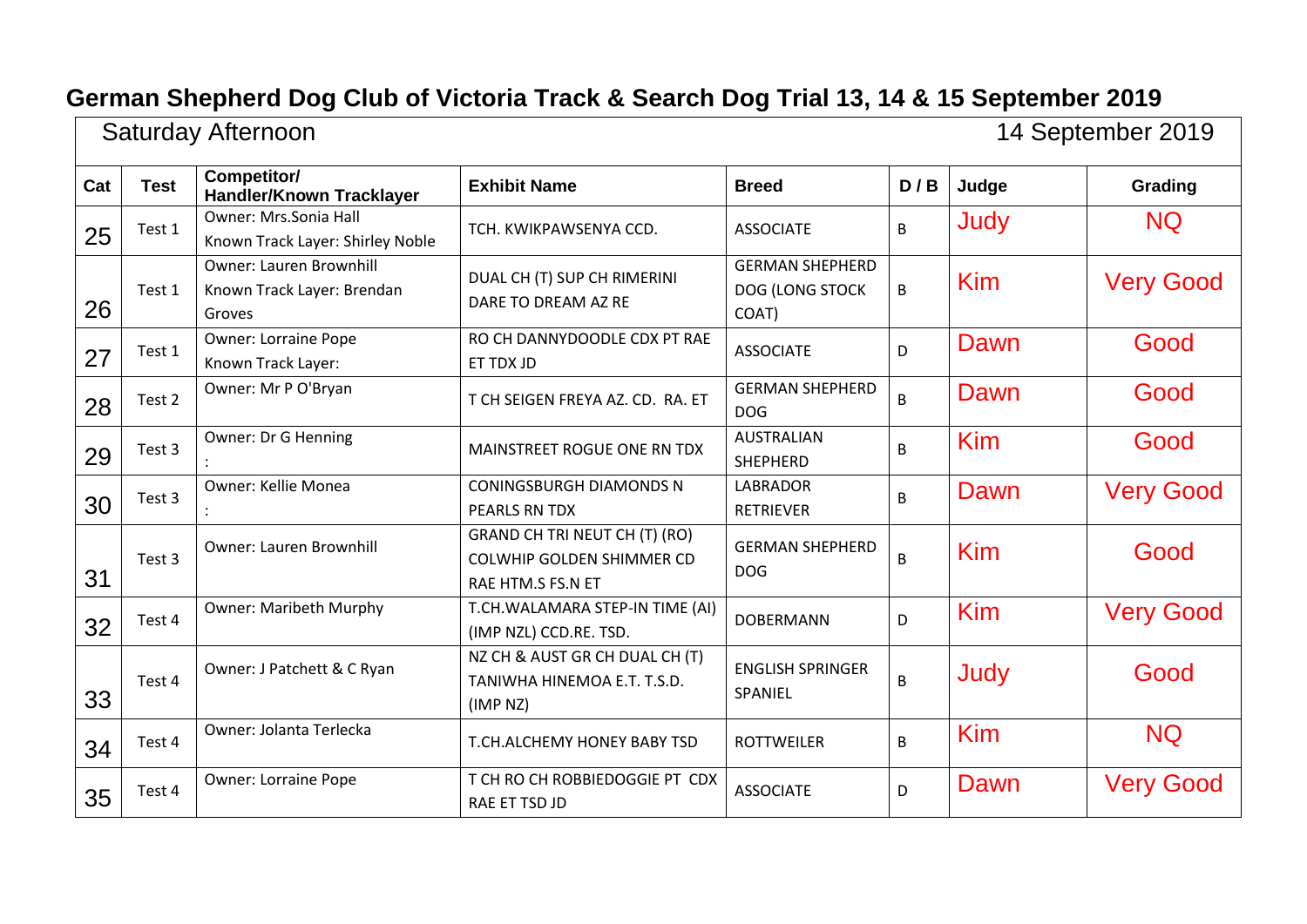| 14 September 2019<br>Saturday Afternoon |             |                                                                  |                                                                                        |                                                    |     |            |                  |
|-----------------------------------------|-------------|------------------------------------------------------------------|----------------------------------------------------------------------------------------|----------------------------------------------------|-----|------------|------------------|
| Cat                                     | <b>Test</b> | <b>Competitor/</b><br><b>Handler/Known Tracklayer</b>            | <b>Exhibit Name</b>                                                                    | <b>Breed</b>                                       | D/B | Judge      | Grading          |
| 25                                      | Test 1      | <b>Owner: Mrs.Sonia Hall</b><br>Known Track Layer: Shirley Noble | TCH. KWIKPAWSENYA CCD.                                                                 | <b>ASSOCIATE</b>                                   | B   | Judy       | <b>NQ</b>        |
| 26                                      | Test 1      | Owner: Lauren Brownhill<br>Known Track Layer: Brendan<br>Groves  | DUAL CH (T) SUP CH RIMERINI<br>DARE TO DREAM AZ RE                                     | <b>GERMAN SHEPHERD</b><br>DOG (LONG STOCK<br>COAT) | B   | Kim        | <b>Very Good</b> |
| 27                                      | Test 1      | <b>Owner: Lorraine Pope</b><br>Known Track Layer:                | RO CH DANNYDOODLE CDX PT RAE<br>ET TDX JD                                              | <b>ASSOCIATE</b>                                   | D   | Dawn       | Good             |
| 28                                      | Test 2      | Owner: Mr P O'Bryan                                              | T CH SEIGEN FREYA AZ. CD. RA. ET                                                       | <b>GERMAN SHEPHERD</b><br><b>DOG</b>               | B   | Dawn       | Good             |
| 29                                      | Test 3      | Owner: Dr G Henning                                              | MAINSTREET ROGUE ONE RN TDX                                                            | <b>AUSTRALIAN</b><br><b>SHEPHERD</b>               | B   | Kim        | Good             |
| 30                                      | Test 3      | Owner: Kellie Monea                                              | <b>CONINGSBURGH DIAMONDS N</b><br><b>PEARLS RN TDX</b>                                 | <b>LABRADOR</b><br><b>RETRIEVER</b>                | B   | Dawn       | <b>Very Good</b> |
| 31                                      | Test 3      | Owner: Lauren Brownhill                                          | GRAND CH TRI NEUT CH (T) (RO)<br><b>COLWHIP GOLDEN SHIMMER CD</b><br>RAE HTM.S FS.N ET | <b>GERMAN SHEPHERD</b><br><b>DOG</b>               | B   | Kim        | Good             |
| 32                                      | Test 4      | <b>Owner: Maribeth Murphy</b>                                    | T.CH.WALAMARA STEP-IN TIME (AI)<br>(IMP NZL) CCD.RE. TSD.                              | <b>DOBERMANN</b>                                   | D   | <b>Kim</b> | <b>Very Good</b> |
| 33                                      | Test 4      | Owner: J Patchett & C Ryan                                       | NZ CH & AUST GR CH DUAL CH (T)<br>TANIWHA HINEMOA E.T. T.S.D.<br>(IMP <sub>NZ</sub> )  | <b>ENGLISH SPRINGER</b><br>SPANIEL                 | B   | Judy       | Good             |
| 34                                      | Test 4      | Owner: Jolanta Terlecka                                          | T.CH.ALCHEMY HONEY BABY TSD                                                            | <b>ROTTWEILER</b>                                  | B   | <b>Kim</b> | <b>NQ</b>        |
| 35                                      | Test 4      | <b>Owner: Lorraine Pope</b>                                      | T CH RO CH ROBBIEDOGGIE PT CDX<br>RAE ET TSD JD                                        | <b>ASSOCIATE</b>                                   | D   | Dawn       | <b>Very Good</b> |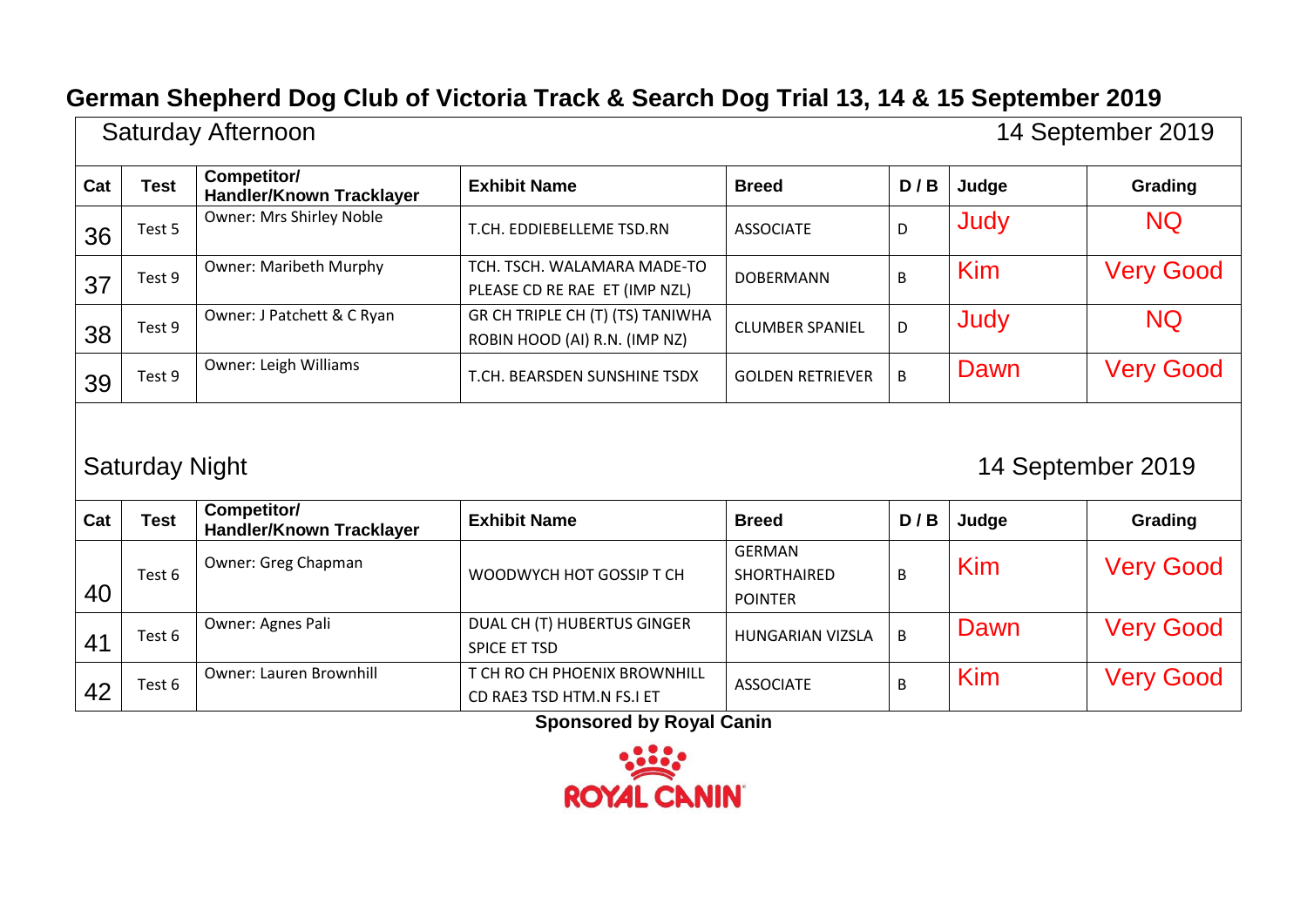|     | 14 September 2019<br>Saturday Afternoon    |                                                |                                                                   |                                                       |     |            |                  |  |  |  |  |
|-----|--------------------------------------------|------------------------------------------------|-------------------------------------------------------------------|-------------------------------------------------------|-----|------------|------------------|--|--|--|--|
| Cat | <b>Test</b>                                | Competitor/<br><b>Handler/Known Tracklayer</b> | <b>Exhibit Name</b>                                               | <b>Breed</b>                                          | D/B | Judge      | Grading          |  |  |  |  |
| 36  | Test 5                                     | Owner: Mrs Shirley Noble                       | T.CH. EDDIEBELLEME TSD.RN                                         | <b>ASSOCIATE</b>                                      | D   | Judy       | <b>NQ</b>        |  |  |  |  |
| 37  | Test 9                                     | <b>Owner: Maribeth Murphy</b>                  | TCH. TSCH. WALAMARA MADE-TO<br>PLEASE CD RE RAE ET (IMP NZL)      | <b>DOBERMANN</b>                                      | B   | <b>Kim</b> | <b>Very Good</b> |  |  |  |  |
| 38  | Test 9                                     | Owner: J Patchett & C Ryan                     | GR CH TRIPLE CH (T) (TS) TANIWHA<br>ROBIN HOOD (AI) R.N. (IMP NZ) | <b>CLUMBER SPANIEL</b>                                | D   | Judy       | <b>NQ</b>        |  |  |  |  |
| 39  | Test 9                                     | <b>Owner: Leigh Williams</b>                   | T.CH. BEARSDEN SUNSHINE TSDX                                      | <b>GOLDEN RETRIEVER</b>                               | B   | Dawn       | <b>Very Good</b> |  |  |  |  |
|     | 14 September 2019<br><b>Saturday Night</b> |                                                |                                                                   |                                                       |     |            |                  |  |  |  |  |
| Cat | <b>Test</b>                                | Competitor/<br><b>Handler/Known Tracklayer</b> | <b>Exhibit Name</b>                                               | <b>Breed</b>                                          | D/B | Judge      | Grading          |  |  |  |  |
| 40  | Test 6                                     | Owner: Greg Chapman                            | WOODWYCH HOT GOSSIP T CH                                          | <b>GERMAN</b><br><b>SHORTHAIRED</b><br><b>POINTER</b> | B   | Kim        | <b>Very Good</b> |  |  |  |  |
| 41  | Test 6                                     | Owner: Agnes Pali                              | DUAL CH (T) HUBERTUS GINGER<br><b>SPICE ET TSD</b>                | <b>HUNGARIAN VIZSLA</b>                               | B   | Dawn       | <b>Very Good</b> |  |  |  |  |
| 42  | Test 6                                     | Owner: Lauren Brownhill                        | T CH RO CH PHOENIX BROWNHILL                                      | <b>ASSOCIATE</b>                                      | B   | Kim        | <b>Very Good</b> |  |  |  |  |

**Sponsored by Royal Canin**

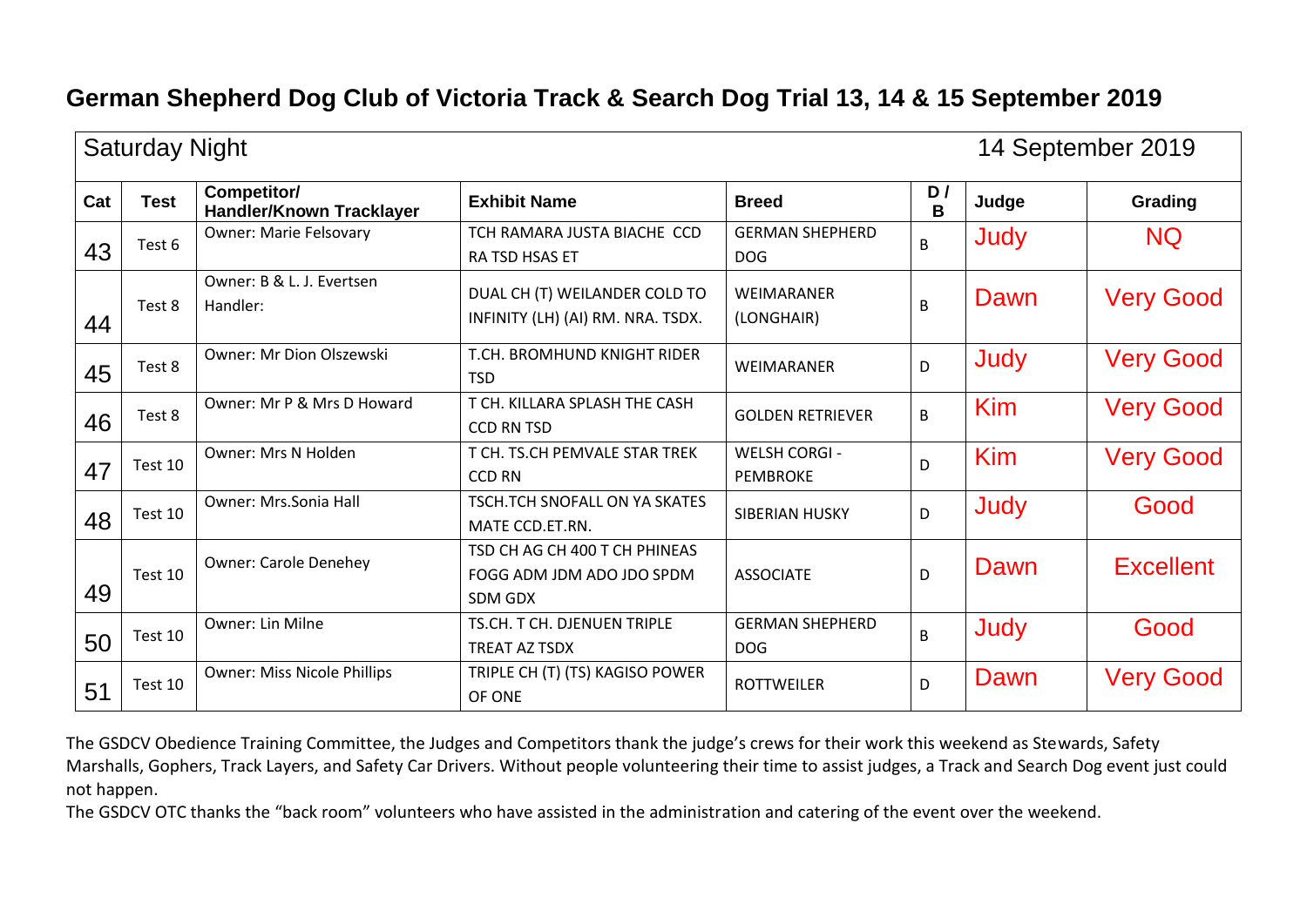|     | <b>Saturday Night</b> |                                         |                                                                       |                                         |         |            | 14 September 2019 |
|-----|-----------------------|-----------------------------------------|-----------------------------------------------------------------------|-----------------------------------------|---------|------------|-------------------|
| Cat | <b>Test</b>           | Competitor/<br>Handler/Known Tracklayer | <b>Exhibit Name</b>                                                   | <b>Breed</b>                            | D/<br>B | Judge      | Grading           |
| 43  | Test 6                | <b>Owner: Marie Felsovary</b>           | TCH RAMARA JUSTA BIACHE CCD<br>RA TSD HSAS ET                         | <b>GERMAN SHEPHERD</b><br><b>DOG</b>    | B       | Judy       | <b>NQ</b>         |
| 44  | Test 8                | Owner: B & L. J. Evertsen<br>Handler:   | DUAL CH (T) WEILANDER COLD TO<br>INFINITY (LH) (AI) RM. NRA. TSDX.    | <b>WEIMARANER</b><br>(LONGHAIR)         | B       | Dawn       | <b>Very Good</b>  |
| 45  | Test 8                | Owner: Mr Dion Olszewski                | T.CH. BROMHUND KNIGHT RIDER<br><b>TSD</b>                             | <b>WEIMARANER</b>                       | D       | Judy       | <b>Very Good</b>  |
| 46  | Test 8                | Owner: Mr P & Mrs D Howard              | T CH. KILLARA SPLASH THE CASH<br><b>CCD RN TSD</b>                    | <b>GOLDEN RETRIEVER</b>                 | B       | Kim        | <b>Very Good</b>  |
| 47  | Test 10               | <b>Owner: Mrs N Holden</b>              | T CH. TS.CH PEMVALE STAR TREK<br><b>CCD RN</b>                        | <b>WELSH CORGI -</b><br><b>PEMBROKE</b> | D       | <b>Kim</b> | <b>Very Good</b>  |
| 48  | Test 10               | Owner: Mrs.Sonia Hall                   | TSCH.TCH SNOFALL ON YA SKATES<br>MATE CCD.ET.RN.                      | <b>SIBERIAN HUSKY</b>                   | D       | Judy       | Good              |
| 49  | Test 10               | <b>Owner: Carole Denehey</b>            | TSD CH AG CH 400 T CH PHINEAS<br>FOGG ADM JDM ADO JDO SPDM<br>SDM GDX | <b>ASSOCIATE</b>                        | D       | Dawn       | <b>Excellent</b>  |
| 50  | Test 10               | Owner: Lin Milne                        | TS.CH. T CH. DJENUEN TRIPLE<br>TREAT AZ TSDX                          | <b>GERMAN SHEPHERD</b><br><b>DOG</b>    | B       | Judy       | Good              |
| 51  | Test 10               | <b>Owner: Miss Nicole Phillips</b>      | TRIPLE CH (T) (TS) KAGISO POWER<br>OF ONE                             | <b>ROTTWEILER</b>                       | D       | Dawn       | <b>Very Good</b>  |

The GSDCV Obedience Training Committee, the Judges and Competitors thank the judge's crews for their work this weekend as Stewards, Safety Marshalls, Gophers, Track Layers, and Safety Car Drivers. Without people volunteering their time to assist judges, a Track and Search Dog event just could not happen.

The GSDCV OTC thanks the "back room" volunteers who have assisted in the administration and catering of the event over the weekend.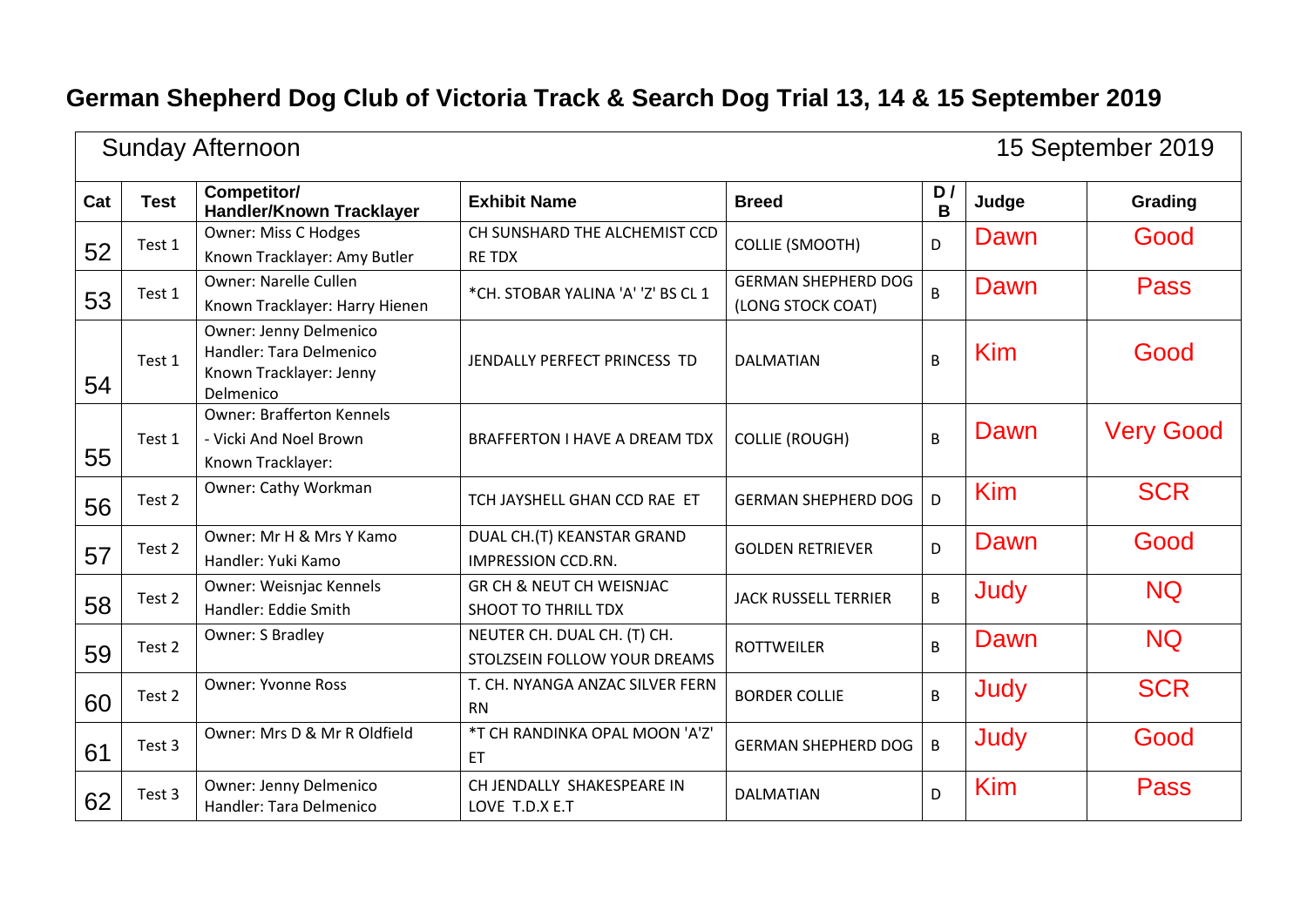÷.

|     |             | <b>Sunday Afternoon</b>                                                                   |                                                                   |                                                 |         |            | 15 September 2019 |
|-----|-------------|-------------------------------------------------------------------------------------------|-------------------------------------------------------------------|-------------------------------------------------|---------|------------|-------------------|
| Cat | <b>Test</b> | Competitor/<br><b>Handler/Known Tracklayer</b>                                            | <b>Exhibit Name</b>                                               | <b>Breed</b>                                    | D/<br>B | Judge      | Grading           |
| 52  | Test 1      | <b>Owner: Miss C Hodges</b><br>Known Tracklayer: Amy Butler                               | CH SUNSHARD THE ALCHEMIST CCD<br><b>RE TDX</b>                    | <b>COLLIE (SMOOTH)</b>                          | D       | Dawn       | Good              |
| 53  | Test 1      | <b>Owner: Narelle Cullen</b><br>Known Tracklayer: Harry Hienen                            | *CH. STOBAR YALINA 'A' 'Z' BS CL 1                                | <b>GERMAN SHEPHERD DOG</b><br>(LONG STOCK COAT) | B       | Dawn       | <b>Pass</b>       |
| 54  | Test 1      | Owner: Jenny Delmenico<br>Handler: Tara Delmenico<br>Known Tracklayer: Jenny<br>Delmenico | JENDALLY PERFECT PRINCESS TD                                      | <b>DALMATIAN</b>                                | B       | Kim        | Good              |
| 55  | Test 1      | <b>Owner: Brafferton Kennels</b><br>- Vicki And Noel Brown<br>Known Tracklayer:           | BRAFFERTON I HAVE A DREAM TDX                                     | <b>COLLIE (ROUGH)</b>                           | B       | Dawn       | <b>Very Good</b>  |
| 56  | Test 2      | Owner: Cathy Workman                                                                      | TCH JAYSHELL GHAN CCD RAE ET                                      | <b>GERMAN SHEPHERD DOG</b>                      | D       | <b>Kim</b> | <b>SCR</b>        |
| 57  | Test 2      | Owner: Mr H & Mrs Y Kamo<br>Handler: Yuki Kamo                                            | DUAL CH.(T) KEANSTAR GRAND<br><b>IMPRESSION CCD.RN.</b>           | <b>GOLDEN RETRIEVER</b>                         | D       | Dawn       | Good              |
| 58  | Test 2      | Owner: Weisnjac Kennels<br>Handler: Eddie Smith                                           | <b>GR CH &amp; NEUT CH WEISNJAC</b><br><b>SHOOT TO THRILL TDX</b> | <b>JACK RUSSELL TERRIER</b>                     | B       | Judy       | <b>NQ</b>         |
| 59  | Test 2      | Owner: S Bradley                                                                          | NEUTER CH. DUAL CH. (T) CH.<br>STOLZSEIN FOLLOW YOUR DREAMS       | <b>ROTTWEILER</b>                               | B       | Dawn       | <b>NQ</b>         |
| 60  | Test 2      | <b>Owner: Yvonne Ross</b>                                                                 | T. CH. NYANGA ANZAC SILVER FERN<br><b>RN</b>                      | <b>BORDER COLLIE</b>                            | B       | Judy       | <b>SCR</b>        |
| 61  | Test 3      | Owner: Mrs D & Mr R Oldfield                                                              | *T CH RANDINKA OPAL MOON 'A'Z'<br>ET                              | <b>GERMAN SHEPHERD DOG</b>                      | B       | Judy       | Good              |
| 62  | Test 3      | Owner: Jenny Delmenico<br>Handler: Tara Delmenico                                         | CH JENDALLY SHAKESPEARE IN<br>LOVE T.D.X E.T                      | <b>DALMATIAN</b>                                | D       | <b>Kim</b> | <b>Pass</b>       |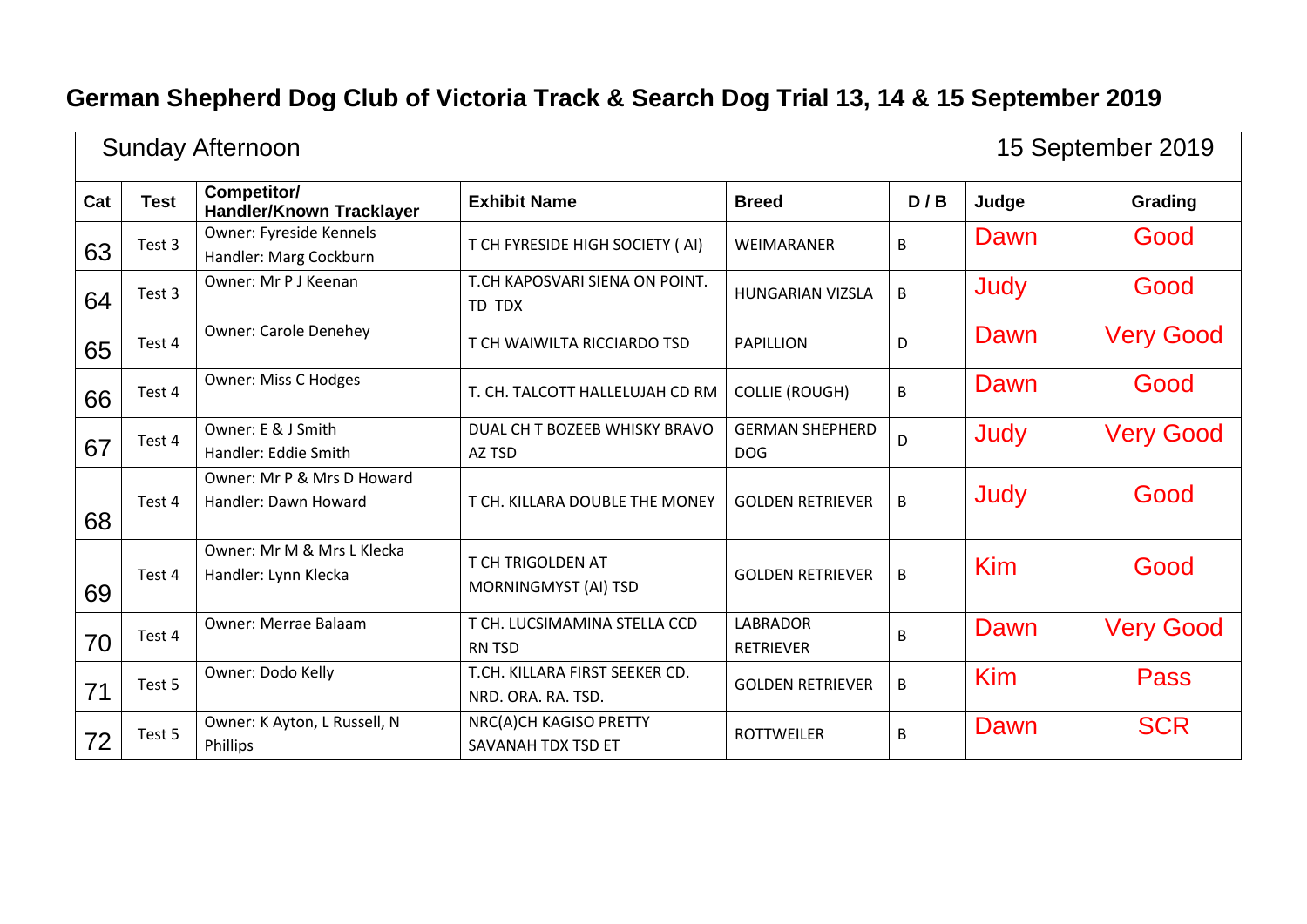÷.

| <b>Sunday Afternoon</b><br>15 September 2019 |             |                                                    |                                                      |                                      |     |            |                  |
|----------------------------------------------|-------------|----------------------------------------------------|------------------------------------------------------|--------------------------------------|-----|------------|------------------|
| Cat                                          | <b>Test</b> | Competitor/<br><b>Handler/Known Tracklayer</b>     | <b>Exhibit Name</b>                                  | <b>Breed</b>                         | D/B | Judge      | Grading          |
| 63                                           | Test 3      | Owner: Fyreside Kennels<br>Handler: Marg Cockburn  | T CH FYRESIDE HIGH SOCIETY (AI)                      | WEIMARANER                           | B   | Dawn       | Good             |
| 64                                           | Test 3      | Owner: Mr P J Keenan                               | T.CH KAPOSVARI SIENA ON POINT.<br>TD TDX             | <b>HUNGARIAN VIZSLA</b>              | B   | Judy       | Good             |
| 65                                           | Test 4      | <b>Owner: Carole Denehey</b>                       | T CH WAIWILTA RICCIARDO TSD                          | <b>PAPILLION</b>                     | D   | Dawn       | <b>Very Good</b> |
| 66                                           | Test 4      | <b>Owner: Miss C Hodges</b>                        | T. CH. TALCOTT HALLELUJAH CD RM                      | <b>COLLIE (ROUGH)</b>                | B   | Dawn       | Good             |
| 67                                           | Test 4      | Owner: E & J Smith<br>Handler: Eddie Smith         | DUAL CH T BOZEEB WHISKY BRAVO<br>AZ TSD              | <b>GERMAN SHEPHERD</b><br><b>DOG</b> | D   | Judy       | <b>Very Good</b> |
| 68                                           | Test 4      | Owner: Mr P & Mrs D Howard<br>Handler: Dawn Howard | T CH. KILLARA DOUBLE THE MONEY                       | <b>GOLDEN RETRIEVER</b>              | B   | Judy       | Good             |
| 69                                           | Test 4      | Owner: Mr M & Mrs L Klecka<br>Handler: Lynn Klecka | T CH TRIGOLDEN AT<br>MORNINGMYST (AI) TSD            | <b>GOLDEN RETRIEVER</b>              | B   | Kim        | Good             |
| 70                                           | Test 4      | Owner: Merrae Balaam                               | T CH. LUCSIMAMINA STELLA CCD<br><b>RN TSD</b>        | <b>LABRADOR</b><br><b>RETRIEVER</b>  | B   | Dawn       | <b>Very Good</b> |
| 71                                           | Test 5      | Owner: Dodo Kelly                                  | T.CH. KILLARA FIRST SEEKER CD.<br>NRD. ORA. RA. TSD. | <b>GOLDEN RETRIEVER</b>              | B   | <b>Kim</b> | <b>Pass</b>      |
| 72                                           | Test 5      | Owner: K Ayton, L Russell, N<br>Phillips           | NRC(A)CH KAGISO PRETTY<br>SAVANAH TDX TSD ET         | <b>ROTTWEILER</b>                    | B   | Dawn       | <b>SCR</b>       |